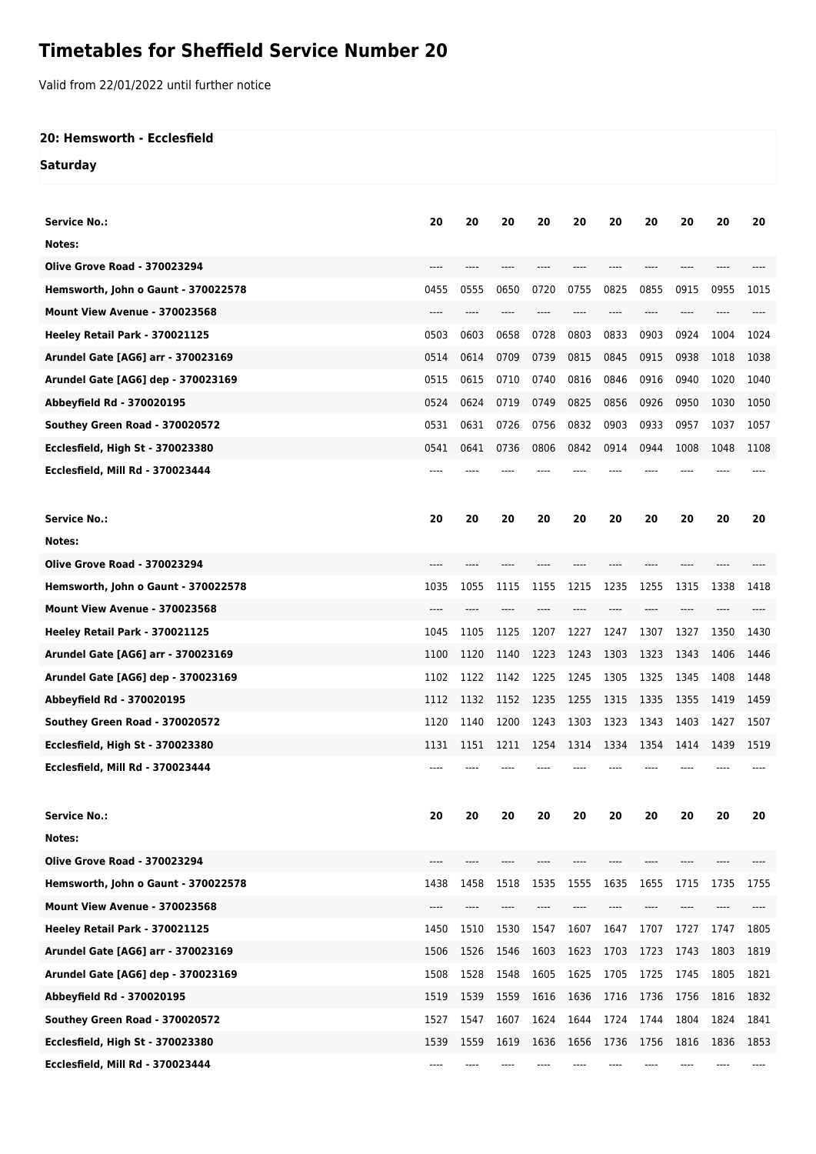## **Timetables for Sheffield Service Number 20**

Valid from 22/01/2022 until further notice

## **20: Hemsworth - Ecclesfield**

**Saturday**

| <b>Service No.:</b>                     | 20   | 20   | 20   | 20   | 20   | 20    | 20   | 20   | 20   | 20   |
|-----------------------------------------|------|------|------|------|------|-------|------|------|------|------|
| Notes:                                  |      |      |      |      |      |       |      |      |      |      |
| <b>Olive Grove Road - 370023294</b>     | ---- | ---- |      | ---- |      | $---$ | ---- | ---- |      |      |
| Hemsworth, John o Gaunt - 370022578     | 0455 | 0555 | 0650 | 0720 | 0755 | 0825  | 0855 | 0915 | 0955 | 1015 |
| Mount View Avenue - 370023568           | ---- | ---- | ---- |      |      | ----  | ---- | ---- |      |      |
| Heeley Retail Park - 370021125          | 0503 | 0603 | 0658 | 0728 | 0803 | 0833  | 0903 | 0924 | 1004 | 1024 |
| Arundel Gate [AG6] arr - 370023169      | 0514 | 0614 | 0709 | 0739 | 0815 | 0845  | 0915 | 0938 | 1018 | 1038 |
| Arundel Gate [AG6] dep - 370023169      | 0515 | 0615 | 0710 | 0740 | 0816 | 0846  | 0916 | 0940 | 1020 | 1040 |
| Abbeyfield Rd - 370020195               | 0524 | 0624 | 0719 | 0749 | 0825 | 0856  | 0926 | 0950 | 1030 | 1050 |
| Southey Green Road - 370020572          | 0531 | 0631 | 0726 | 0756 | 0832 | 0903  | 0933 | 0957 | 1037 | 1057 |
| Ecclesfield, High St - 370023380        | 0541 | 0641 | 0736 | 0806 | 0842 | 0914  | 0944 | 1008 | 1048 | 1108 |
| Ecclesfield, Mill Rd - 370023444        | ---- |      |      |      |      |       |      |      |      |      |
|                                         |      |      |      |      |      |       |      |      |      |      |
| <b>Service No.:</b>                     | 20   | 20   | 20   | 20   | 20   | 20    | 20   | 20   | 20   | 20   |
| Notes:                                  |      |      |      |      |      |       |      |      |      |      |
| <b>Olive Grove Road - 370023294</b>     |      |      |      |      |      |       |      |      |      |      |
| Hemsworth, John o Gaunt - 370022578     | 1035 | 1055 | 1115 | 1155 | 1215 | 1235  | 1255 | 1315 | 1338 | 1418 |
| Mount View Avenue - 370023568           |      |      |      |      |      |       |      |      |      |      |
| Heeley Retail Park - 370021125          | 1045 | 1105 | 1125 | 1207 | 1227 | 1247  | 1307 | 1327 | 1350 | 1430 |
| Arundel Gate [AG6] arr - 370023169      | 1100 | 1120 | 1140 | 1223 | 1243 | 1303  | 1323 | 1343 | 1406 | 1446 |
| Arundel Gate [AG6] dep - 370023169      | 1102 | 1122 | 1142 | 1225 | 1245 | 1305  | 1325 | 1345 | 1408 | 1448 |
| Abbeyfield Rd - 370020195               | 1112 | 1132 | 1152 | 1235 | 1255 | 1315  | 1335 | 1355 | 1419 | 1459 |
| Southey Green Road - 370020572          | 1120 | 1140 | 1200 | 1243 | 1303 | 1323  | 1343 | 1403 | 1427 | 1507 |
| Ecclesfield, High St - 370023380        | 1131 | 1151 | 1211 | 1254 | 1314 | 1334  | 1354 | 1414 | 1439 | 1519 |
| Ecclesfield, Mill Rd - 370023444        |      |      |      |      |      |       |      |      |      |      |
|                                         |      |      |      |      |      |       |      |      |      |      |
| <b>Service No.:</b>                     | 20   | 20   | 20   | 20   | 20   | 20    | 20   | 20   | 20   | 20   |
| Notes:                                  |      |      |      |      |      |       |      |      |      |      |
| <b>Olive Grove Road - 370023294</b>     | ---- |      |      |      |      |       |      |      |      |      |
| Hemsworth, John o Gaunt - 370022578     | 1438 | 1458 | 1518 | 1535 | 1555 | 1635  | 1655 | 1715 | 1735 | 1755 |
| Mount View Avenue - 370023568           | ---- |      |      |      |      |       |      |      |      |      |
| Heeley Retail Park - 370021125          | 1450 | 1510 | 1530 | 1547 | 1607 | 1647  | 1707 | 1727 | 1747 | 1805 |
| Arundel Gate [AG6] arr - 370023169      | 1506 | 1526 | 1546 | 1603 | 1623 | 1703  | 1723 | 1743 | 1803 | 1819 |
| Arundel Gate [AG6] dep - 370023169      | 1508 | 1528 | 1548 | 1605 | 1625 | 1705  | 1725 | 1745 | 1805 | 1821 |
| Abbeyfield Rd - 370020195               | 1519 | 1539 | 1559 | 1616 | 1636 | 1716  | 1736 | 1756 | 1816 | 1832 |
| Southey Green Road - 370020572          | 1527 | 1547 | 1607 | 1624 | 1644 | 1724  | 1744 | 1804 | 1824 | 1841 |
| <b>Ecclesfield, High St - 370023380</b> | 1539 | 1559 | 1619 | 1636 | 1656 | 1736  | 1756 | 1816 | 1836 | 1853 |
| Ecclesfield, Mill Rd - 370023444        | ---- | ---- | ---- | ---- | ---- | ----  | ---- |      | ---- | ---- |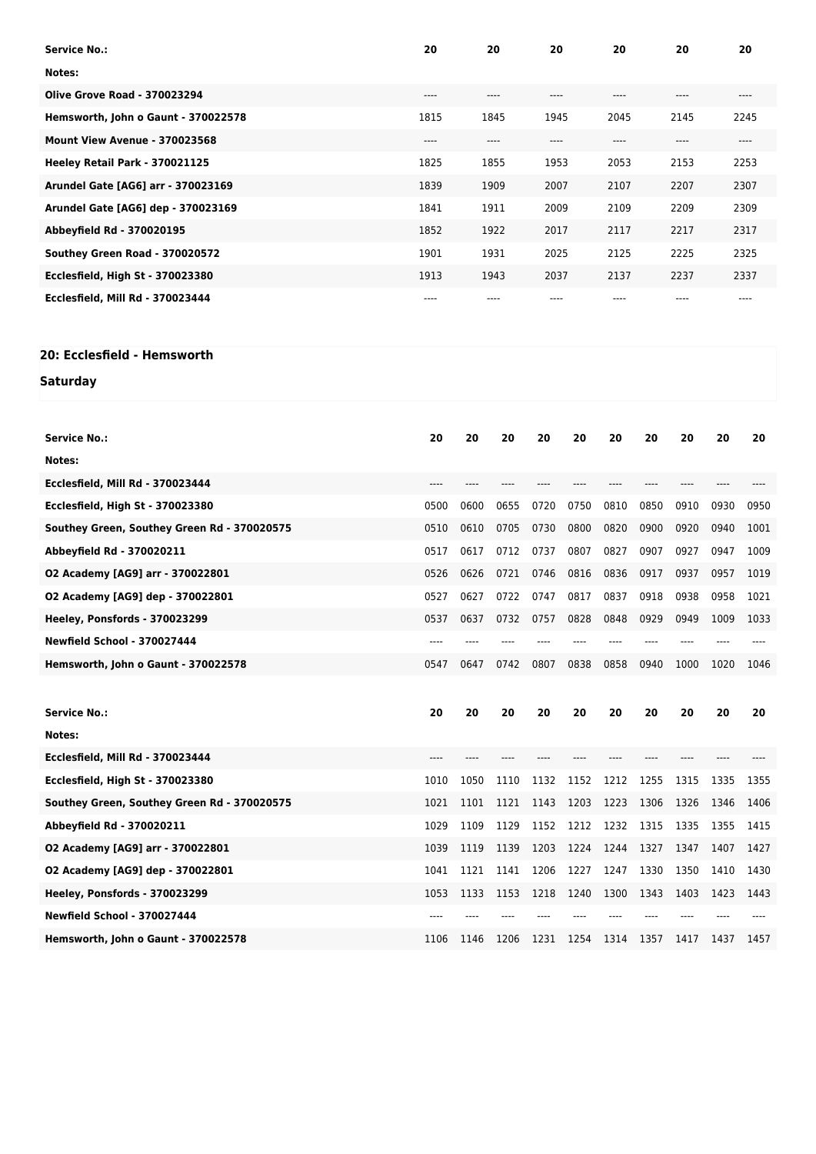| <b>Service No.:</b>                         | 20    | 20    |       |      | 20    |                               |              | 20       | 20   |       |  |
|---------------------------------------------|-------|-------|-------|------|-------|-------------------------------|--------------|----------|------|-------|--|
| Notes:                                      |       |       |       |      |       |                               |              |          |      |       |  |
| <b>Olive Grove Road - 370023294</b>         | $---$ | $---$ |       |      | ----  |                               |              | $---$    |      | ----  |  |
| Hemsworth, John o Gaunt - 370022578         | 1815  |       | 1845  | 1945 |       | 2045                          |              | 2145     |      | 2245  |  |
| Mount View Avenue - 370023568               | $---$ |       | ----  | ---- |       | $\hspace{1.5cm} \textbf{---}$ |              | $\cdots$ |      | $---$ |  |
| Heeley Retail Park - 370021125              | 1825  |       | 1855  | 1953 |       | 2053                          | 2153         |          | 2253 |       |  |
| Arundel Gate [AG6] arr - 370023169          | 1839  |       | 1909  |      | 2007  |                               | 2107<br>2207 |          | 2307 |       |  |
| Arundel Gate [AG6] dep - 370023169          | 1841  | 1911  |       | 2009 |       | 2109                          | 2209         |          | 2309 |       |  |
| Abbeyfield Rd - 370020195                   | 1852  | 1922  |       | 2017 |       | 2117                          |              | 2217     |      | 2317  |  |
| Southey Green Road - 370020572              | 1901  |       | 1931  | 2025 |       | 2125                          |              | 2225     |      | 2325  |  |
| <b>Ecclesfield, High St - 370023380</b>     | 1913  |       | 1943  | 2037 |       | 2137                          |              | 2237     | 2337 |       |  |
| Ecclesfield, Mill Rd - 370023444            | $---$ |       | $---$ |      | $---$ |                               | ----         |          |      | ----  |  |
|                                             |       |       |       |      |       |                               |              |          |      |       |  |
| 20: Ecclesfield - Hemsworth                 |       |       |       |      |       |                               |              |          |      |       |  |
|                                             |       |       |       |      |       |                               |              |          |      |       |  |
| Saturday                                    |       |       |       |      |       |                               |              |          |      |       |  |
|                                             |       |       |       |      |       |                               |              |          |      |       |  |
| <b>Service No.:</b>                         | 20    | 20    | 20    | 20   | 20    | 20                            | 20           | 20       | 20   | 20    |  |
| Notes:                                      |       |       |       |      |       |                               |              |          |      |       |  |
| Ecclesfield, Mill Rd - 370023444            | $---$ | $---$ | $---$ | ---- | $---$ | $---$                         | $---$        | $---$    | ---- |       |  |
| <b>Ecclesfield, High St - 370023380</b>     | 0500  | 0600  | 0655  | 0720 | 0750  | 0810                          | 0850         | 0910     | 0930 | 0950  |  |
| Southey Green, Southey Green Rd - 370020575 | 0510  | 0610  | 0705  | 0730 | 0800  | 0820                          | 0900         | 0920     | 0940 | 1001  |  |
| Abbeyfield Rd - 370020211                   | 0517  | 0617  | 0712  | 0737 | 0807  | 0827                          | 0907         | 0927     | 0947 | 1009  |  |
| 02 Academy [AG9] arr - 370022801            | 0526  | 0626  | 0721  | 0746 | 0816  | 0836                          | 0917         | 0937     | 0957 | 1019  |  |
| 02 Academy [AG9] dep - 370022801            | 0527  | 0627  | 0722  | 0747 | 0817  | 0837                          | 0918         | 0938     | 0958 | 1021  |  |
| Heeley, Ponsfords - 370023299               | 0537  | 0637  | 0732  | 0757 | 0828  | 0848                          | 0929         | 0949     | 1009 | 1033  |  |
| <b>Newfield School - 370027444</b>          |       |       |       |      |       | ----                          |              |          |      |       |  |
| Hemsworth, John o Gaunt - 370022578         | 0547  | 0647  | 0742  | 0807 | 0838  | 0858                          | 0940         | 1000     | 1020 | 1046  |  |
|                                             |       |       |       |      |       |                               |              |          |      |       |  |
|                                             |       |       |       |      |       |                               |              |          |      |       |  |

| <b>Service No.:</b>                         | 20   | 20   | 20   | 20   | 20   | 20             | 20   | 20   | 20   | 20   |
|---------------------------------------------|------|------|------|------|------|----------------|------|------|------|------|
| Notes:                                      |      |      |      |      |      |                |      |      |      |      |
| Ecclesfield, Mill Rd - 370023444            |      |      |      |      |      |                |      |      |      |      |
| <b>Ecclesfield, High St - 370023380</b>     | 1010 | 1050 | 1110 | 1132 | 1152 | 1212           | 1255 | 1315 | 1335 | 1355 |
| Southey Green, Southey Green Rd - 370020575 | 1021 | 1101 | 1121 | 1143 | 1203 | 1223           | 1306 | 1326 | 1346 | 1406 |
| Abbeyfield Rd - 370020211                   | 1029 | 1109 | 1129 | 1152 | 1212 | 1232           | 1315 | 1335 | 1355 | 1415 |
| 02 Academy [AG9] arr - 370022801            | 1039 | 1119 | 1139 | 1203 |      | 1224 1244 1327 |      | 1347 | 1407 | 1427 |
| 02 Academy [AG9] dep - 370022801            | 1041 | 1121 | 1141 | 1206 | 1227 | 1247           | 1330 | 1350 | 1410 | 1430 |
| Heeley, Ponsfords - 370023299               | 1053 | 1133 | 1153 | 1218 | 1240 | 1300           | 1343 | 1403 | 1423 | 1443 |
| <b>Newfield School - 370027444</b>          |      |      |      |      |      |                |      |      |      |      |
| Hemsworth, John o Gaunt - 370022578         | 1106 | 1146 | 1206 | 1231 | 1254 | 1314           | 1357 | 1417 | 1437 | 1457 |